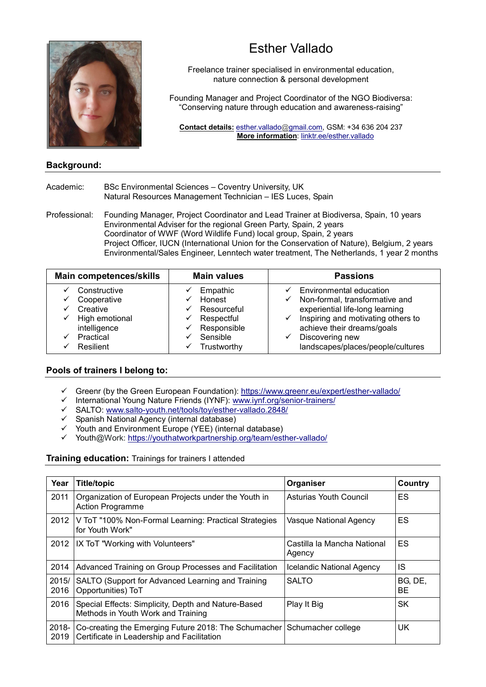

# Esther Vallado

Freelance trainer specialised in environmental education, nature connection & personal development

Founding Manager and Project Coordinator of the NGO Biodiversa: "Conserving nature through education and awareness-raising"

Contact details: esther.vallado@gmail.com, GSM: +34 636 204 237 More information: linktr.ee/esther.vallado

## Background:

#### Academic: BSc Environmental Sciences – Coventry University, UK Natural Resources Management Technician – IES Luces, Spain

Professional: Founding Manager, Project Coordinator and Lead Trainer at Biodiversa, Spain, 10 years Environmental Adviser for the regional Green Party, Spain, 2 years Coordinator of WWF (Word Wildlife Fund) local group, Spain, 2 years Project Officer, IUCN (International Union for the Conservation of Nature), Belgium, 2 years Environmental/Sales Engineer, Lenntech water treatment, The Netherlands, 1 year 2 months

| <b>Main competences/skills</b>                                                                                   | <b>Main values</b>                                                                                       | <b>Passions</b>                                                                                                                                                                                                                                    |
|------------------------------------------------------------------------------------------------------------------|----------------------------------------------------------------------------------------------------------|----------------------------------------------------------------------------------------------------------------------------------------------------------------------------------------------------------------------------------------------------|
| Constructive<br>Cooperative<br>Creative<br>$\checkmark$ High emotional<br>intelligence<br>Practical<br>Resilient | Empathic<br>Honest<br>Resourceful<br>✓<br>Respectful<br>✓<br>Responsible<br>Sensible<br>Trustworthy<br>✓ | Environmental education<br>$\checkmark$ Non-formal, transformative and<br>experiential life-long learning<br>$\checkmark$ Inspiring and motivating others to<br>achieve their dreams/goals<br>Discovering new<br>landscapes/places/people/cultures |

## Pools of trainers I belong to:

- Greenr (by the Green European Foundation): https://www.greenr.eu/expert/esther-vallado/
- International Young Nature Friends (IYNF): www.iynf.org/senior-trainers/
- SALTO: www.salto-youth.net/tools/toy/esther-vallado.2848/
- Spanish National Agency (internal database)
- Youth and Environment Europe (YEE) (internal database)
- Youth@Work: https://youthatworkpartnership.org/team/esther-vallado/

#### **Training education:** Trainings for trainers I attended

| Year             | <b>Title/topic</b>                                                                                                    | Organiser                             | Country        |
|------------------|-----------------------------------------------------------------------------------------------------------------------|---------------------------------------|----------------|
| 2011             | Organization of European Projects under the Youth in<br><b>Action Programme</b>                                       | <b>Asturias Youth Council</b>         | ES.            |
| 2012             | V ToT "100% Non-Formal Learning: Practical Strategies<br>for Youth Work"                                              | Vasque National Agency                | ES             |
| 2012             | IX ToT "Working with Volunteers"                                                                                      | Castilla la Mancha National<br>Agency | ES             |
| 2014             | Advanced Training on Group Processes and Facilitation                                                                 | Icelandic National Agency             | IS             |
| 2015/<br>2016    | SALTO (Support for Advanced Learning and Training<br>Opportunities) ToT                                               | <b>SALTO</b>                          | BG, DE,<br>BE. |
| 2016             | Special Effects: Simplicity, Depth and Nature-Based<br>Methods in Youth Work and Training                             | Play It Big                           | <b>SK</b>      |
| $2018 -$<br>2019 | Co-creating the Emerging Future 2018: The Schumacher Schumacher college<br>Certificate in Leadership and Facilitation |                                       | UK             |